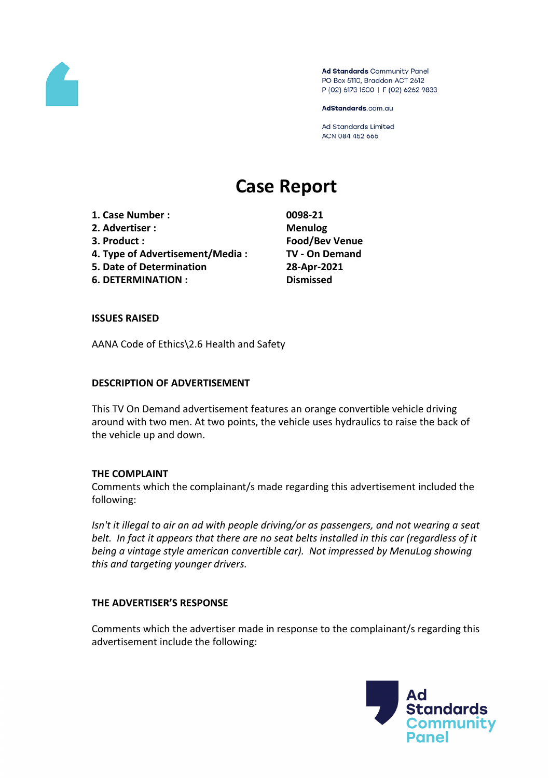

Ad Standards Community Panel PO Box 5110, Braddon ACT 2612 P (02) 6173 1500 | F (02) 6262 9833

AdStandards.com.au

**Ad Standards Limited** ACN 084 452 666

# **Case Report**

- **1. Case Number : 0098-21**
- **2. Advertiser : Menulog**
- 
- **4. Type of Advertisement/Media : TV - On Demand**
- **5. Date of Determination 28-Apr-2021**
- **6. DETERMINATION : Dismissed**

**3. Product : Food/Bev Venue**

#### **ISSUES RAISED**

AANA Code of Ethics\2.6 Health and Safety

#### **DESCRIPTION OF ADVERTISEMENT**

This TV On Demand advertisement features an orange convertible vehicle driving around with two men. At two points, the vehicle uses hydraulics to raise the back of the vehicle up and down.

#### **THE COMPLAINT**

Comments which the complainant/s made regarding this advertisement included the following:

*Isn't it illegal to air an ad with people driving/or as passengers, and not wearing a seat belt. In fact it appears that there are no seat belts installed in this car (regardless of it being a vintage style american convertible car). Not impressed by MenuLog showing this and targeting younger drivers.*

#### **THE ADVERTISER'S RESPONSE**

Comments which the advertiser made in response to the complainant/s regarding this advertisement include the following: